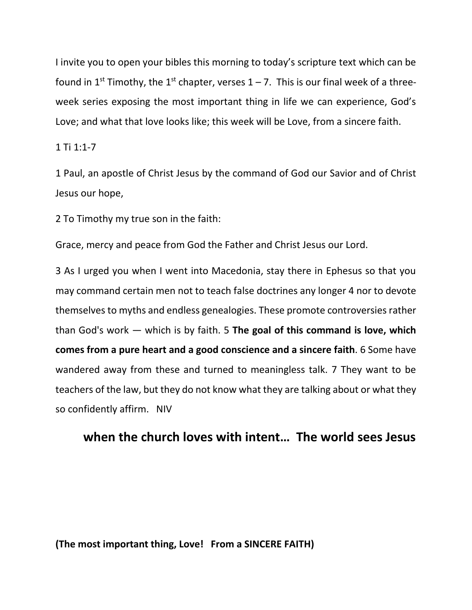I invite you to open your bibles this morning to today's scripture text which can be found in 1<sup>st</sup> Timothy, the 1<sup>st</sup> chapter, verses  $1 - 7$ . This is our final week of a threeweek series exposing the most important thing in life we can experience, God's Love; and what that love looks like; this week will be Love, from a sincere faith.

## 1 Ti 1:1-7

1 Paul, an apostle of Christ Jesus by the command of God our Savior and of Christ Jesus our hope,

2 To Timothy my true son in the faith:

Grace, mercy and peace from God the Father and Christ Jesus our Lord.

3 As I urged you when I went into Macedonia, stay there in Ephesus so that you may command certain men not to teach false doctrines any longer 4 nor to devote themselves to myths and endless genealogies. These promote controversies rather than God's work — which is by faith. 5 **The goal of this command is love, which comes from a pure heart and a good conscience and a sincere faith**. 6 Some have wandered away from these and turned to meaningless talk. 7 They want to be teachers of the law, but they do not know what they are talking about or what they so confidently affirm. NIV

## **when the church loves with intent… The world sees Jesus**

**(The most important thing, Love! From a SINCERE FAITH)**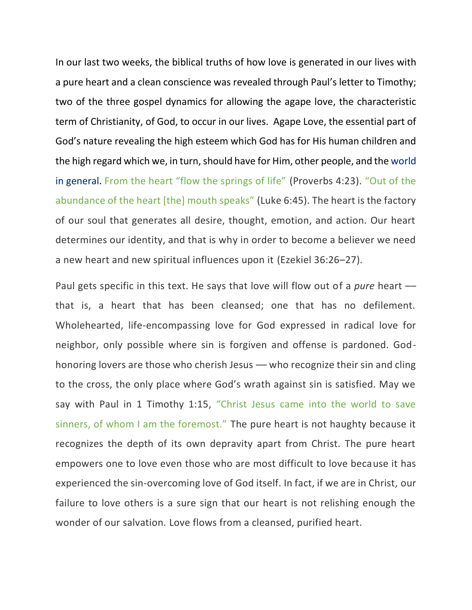In our last two weeks, the biblical truths of how love is generated in our lives with a pure heart and a clean conscience was revealed through Paul's letter to Timothy; two of the three gospel dynamics for allowing the agape love, the characteristic term of Christianity, of God, to occur in our lives. Agape Love, the essential part of God's nature revealing the high esteem which God has for His human children and the high regard which we, in turn, should have for Him, other people, and the world in general. From the heart "flow the springs of life" [\(Proverbs 4:23\)](https://biblia.com/bible/esv/Prov%204.23). "Out of the abundance of the heart [the] mouth speaks" [\(Luke 6:45\)](https://biblia.com/bible/esv/Luke%206.45). The heart is the factory of our soul that generates all desire, thought, emotion, and action. Our heart determines our identity, and that is why in order to become a believer we need a new heart and new spiritual influences upon it [\(Ezekiel 36:26](https://biblia.com/bible/esv/Ezek%2036.26%E2%80%9327)–27).

Paul gets specific in this text. He says that love will flow out of a *pure* heart –– that is, a heart that has been cleansed; one that has no defilement. Wholehearted, life-encompassing love for God expressed in radical love for neighbor, only possible where sin is forgiven and offense is pardoned. Godhonoring lovers are those who cherish Jesus –– who recognize their sin and cling to the cross, the only place where God's wrath against sin is satisfied. May we say with Paul in [1 Timothy 1:15,](https://biblia.com/bible/esv/1%20Tim%201.15) "Christ Jesus came into the world to save sinners, of whom I am the foremost." The pure heart is not haughty because it recognizes the depth of its own depravity apart from Christ. The pure heart empowers one to love even those who are most difficult to love because it has experienced the sin-overcoming love of God itself. In fact, if we are in Christ*,* our failure to love others is a sure sign that our heart is not relishing enough the wonder of our salvation. Love flows from a cleansed, purified heart.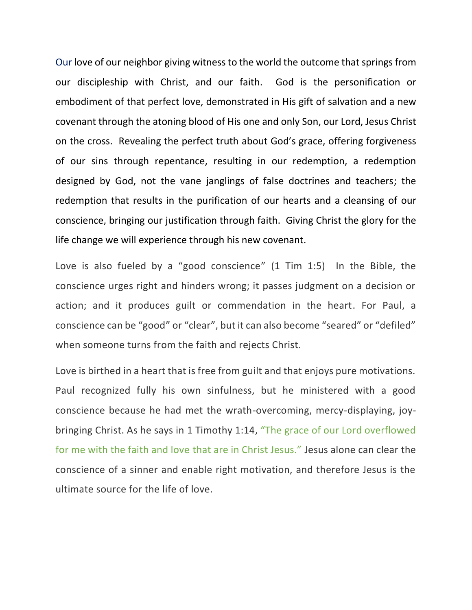Our love of our neighbor giving witness to the world the outcome that springs from our discipleship with Christ, and our faith. God is the personification or embodiment of that perfect love, demonstrated in His gift of salvation and a new covenant through the atoning blood of His one and only Son, our Lord, Jesus Christ on the cross. Revealing the perfect truth about God's grace, offering forgiveness of our sins through repentance, resulting in our redemption, a redemption designed by God, not the vane janglings of false doctrines and teachers; the redemption that results in the purification of our hearts and a cleansing of our conscience, bringing our justification through faith. Giving Christ the glory for the life change we will experience through his new covenant.

Love is also fueled by a "good conscience" (1 Tim 1:5) In the Bible, the conscience urges right and hinders wrong; it passes judgment on a decision or action; and it produces guilt or commendation in the heart. For Paul, a conscience can be "good" or "clear", but it can also become "seared" or "defiled" when someone turns from the faith and rejects Christ.

Love is birthed in a heart that is free from guilt and that enjoys pure motivations. Paul recognized fully his own sinfulness, but he ministered with a good conscience because he had met the wrath-overcoming, mercy-displaying, joybringing Christ. As he says in [1 Timothy 1:14,](https://biblia.com/bible/esv/1%20Tim%201.14) "The grace of our Lord overflowed for me with the faith and love that are in Christ Jesus." Jesus alone can clear the conscience of a sinner and enable right motivation, and therefore Jesus is the ultimate source for the life of love.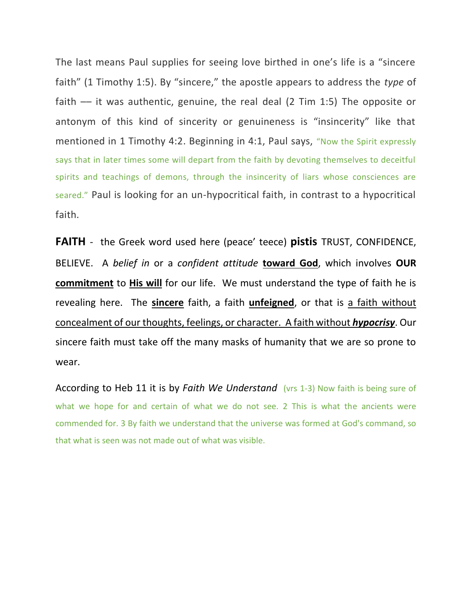The last means Paul supplies for seeing love birthed in one's life is a "sincere faith" [\(1 Timothy 1:5](https://biblia.com/bible/esv/1%20Tim%201.5)). By "sincere," the apostle appears to address the *type* of faith  $-$  it was authentic, genuine, the real deal (2 Tim 1:5) The opposite or antonym of this kind of sincerity or genuineness is "insincerity" like that mentioned in [1 Timothy 4:2.](https://biblia.com/bible/esv/1%20Tim%204.2) Beginning in 4:1, Paul says, "Now the Spirit expressly says that in later times some will depart from the faith by devoting themselves to deceitful spirits and teachings of demons, through the insincerity of liars whose consciences are seared." Paul is looking for an un-hypocritical faith, in contrast to a hypocritical faith.

**FAITH** - the Greek word used here (peace' teece) **pistis** TRUST, CONFIDENCE, BELIEVE. A *belief in* or a *confident attitude* **toward God**, which involves **OUR commitment** to **His will** for our life. We must understand the type of faith he is revealing here. The **sincere** faith, a faith **unfeigned**, or that is a faith without concealment of our thoughts, feelings, or character. A faith without *hypocrisy*. Our sincere faith must take off the many masks of humanity that we are so prone to wear.

According to Heb 11 it is by *Faith We Understand* (vrs 1-3) Now faith is being sure of what we hope for and certain of what we do not see. 2 This is what the ancients were commended for. 3 By faith we understand that the universe was formed at God's command, so that what is seen was not made out of what was visible.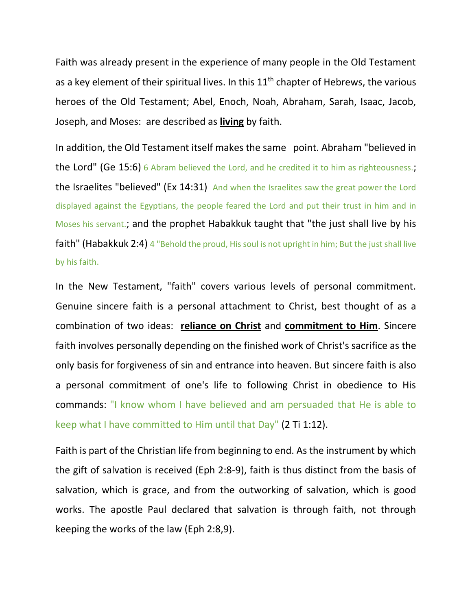Faith was already present in the experience of many people in the Old Testament as a key element of their spiritual lives. In this  $11<sup>th</sup>$  chapter of Hebrews, the various heroes of the Old Testament; Abel, Enoch, Noah, Abraham, Sarah, Isaac, Jacob, Joseph, and Moses: are described as **living** by faith.

In addition, the Old Testament itself makes the same point. Abraham "believed in the Lord" (Ge 15:6) 6 Abram believed the Lord, and he credited it to him as righteousness.; the Israelites "believed" (Ex 14:31) And when the Israelites saw the great power the Lord displayed against the Egyptians, the people feared the Lord and put their trust in him and in Moses his servant.; and the prophet Habakkuk taught that "the just shall live by his faith" (Habakkuk 2:4) 4 "Behold the proud, His soul is not upright in him; But the just shall live by his faith.

In the New Testament, "faith" covers various levels of personal commitment. Genuine sincere faith is a personal attachment to Christ, best thought of as a combination of two ideas: **reliance on Christ** and **commitment to Him**. Sincere faith involves personally depending on the finished work of Christ's sacrifice as the only basis for forgiveness of sin and entrance into heaven. But sincere faith is also a personal commitment of one's life to following Christ in obedience to His commands: "I know whom I have believed and am persuaded that He is able to keep what I have committed to Him until that Day" (2 Ti 1:12).

Faith is part of the Christian life from beginning to end. As the instrument by which the gift of salvation is received (Eph 2:8-9), faith is thus distinct from the basis of salvation, which is grace, and from the outworking of salvation, which is good works. The apostle Paul declared that salvation is through faith, not through keeping the works of the law (Eph 2:8,9).